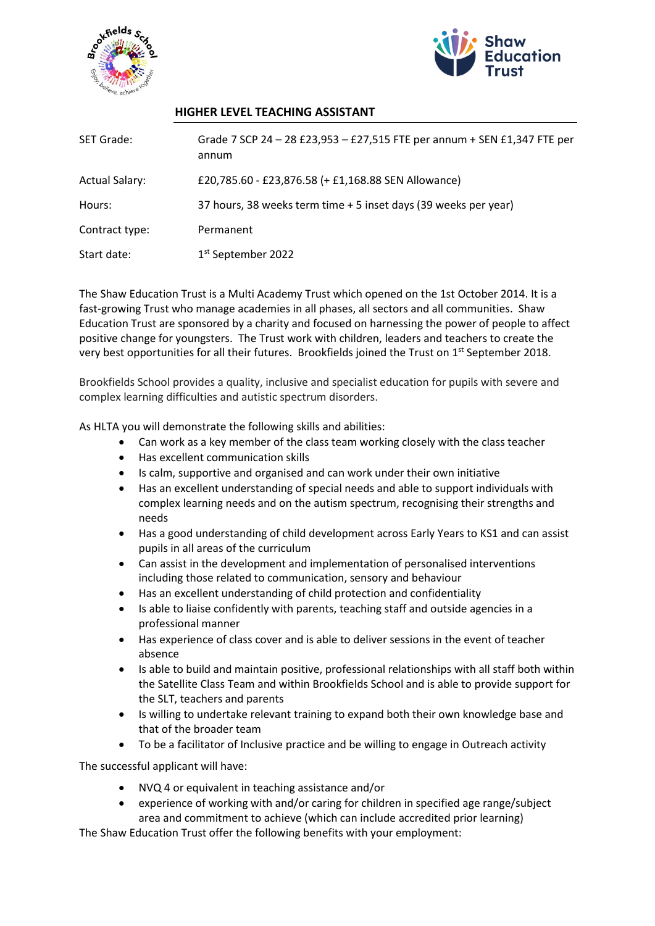



## **HIGHER LEVEL TEACHING ASSISTANT**

| <b>SET Grade:</b>     | Grade 7 SCP 24 - 28 £23,953 - £27,515 FTE per annum + SEN £1,347 FTE per<br>annum |
|-----------------------|-----------------------------------------------------------------------------------|
| <b>Actual Salary:</b> | £20,785.60 - £23,876.58 (+ £1,168.88 SEN Allowance)                               |
| Hours:                | 37 hours, 38 weeks term time + 5 inset days (39 weeks per year)                   |
| Contract type:        | Permanent                                                                         |
| Start date:           | 1 <sup>st</sup> September 2022                                                    |

The Shaw Education Trust is a Multi Academy Trust which opened on the 1st October 2014. It is a fast-growing Trust who manage academies in all phases, all sectors and all communities. Shaw Education Trust are sponsored by a charity and focused on harnessing the power of people to affect positive change for youngsters. The Trust work with children, leaders and teachers to create the very best opportunities for all their futures. Brookfields joined the Trust on 1<sup>st</sup> September 2018.

Brookfields School provides a quality, inclusive and specialist education for pupils with severe and complex learning difficulties and autistic spectrum disorders.

As HLTA you will demonstrate the following skills and abilities:

- Can work as a key member of the class team working closely with the class teacher
- Has excellent communication skills
- Is calm, supportive and organised and can work under their own initiative
- Has an excellent understanding of special needs and able to support individuals with complex learning needs and on the autism spectrum, recognising their strengths and needs
- Has a good understanding of child development across Early Years to KS1 and can assist pupils in all areas of the curriculum
- Can assist in the development and implementation of personalised interventions including those related to communication, sensory and behaviour
- Has an excellent understanding of child protection and confidentiality
- Is able to liaise confidently with parents, teaching staff and outside agencies in a professional manner
- Has experience of class cover and is able to deliver sessions in the event of teacher absence
- Is able to build and maintain positive, professional relationships with all staff both within the Satellite Class Team and within Brookfields School and is able to provide support for the SLT, teachers and parents
- Is willing to undertake relevant training to expand both their own knowledge base and that of the broader team
- To be a facilitator of Inclusive practice and be willing to engage in Outreach activity

The successful applicant will have:

- NVQ 4 or equivalent in teaching assistance and/or
- experience of working with and/or caring for children in specified age range/subject area and commitment to achieve (which can include accredited prior learning)

The Shaw Education Trust offer the following benefits with your employment: